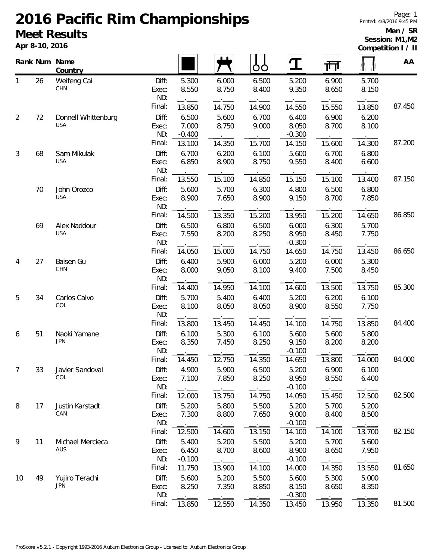# **2016 Pacific Rim Championships Meet Results**

**Apr 8-10, 2016**

Page: 1 Printed: 4/8/2016 9:45 PM

#### **Men / SR Session: M1,M2**

**Competition I / II**

|                |    | Rank Num Name<br>Country          |                       |                            |                | OO             | $\mathbf T$                | 帀              |                | AA     |
|----------------|----|-----------------------------------|-----------------------|----------------------------|----------------|----------------|----------------------------|----------------|----------------|--------|
| 1              | 26 | Weifeng Cai<br>CHN                | Diff:<br>Exec:<br>ND: | 5.300<br>8.550             | 6.000<br>8.750 | 6.500<br>8.400 | 5.200<br>9.350             | 6.900<br>8.650 | 5.700<br>8.150 |        |
|                |    |                                   | Final:                | 13.850                     | 14.750         | 14.900         | 14.550                     | 15.550         | 13.850         | 87.450 |
| $\overline{2}$ | 72 | Donnell Whittenburg<br><b>USA</b> | Diff:<br>Exec:<br>ND: | 6.500<br>7.000<br>$-0.400$ | 5.600<br>8.750 | 6.700<br>9.000 | 6.400<br>8.050<br>$-0.300$ | 6.900<br>8.700 | 6.200<br>8.100 |        |
|                |    |                                   | Final:                | 13.100                     | 14.350         | 15.700         | 14.150                     | 15.600         | 14.300         | 87.200 |
| $\mathfrak{Z}$ | 68 | Sam Mikulak<br><b>USA</b>         | Diff:<br>Exec:<br>ND: | 6.700<br>6.850             | 6.200<br>8.900 | 6.100<br>8.750 | 5.600<br>9.550             | 6.700<br>8.400 | 6.800<br>6.600 |        |
|                |    |                                   | Final:                | 13.550                     | 15.100         | 14.850         | 15.150                     | 15.100         | 13.400         | 87.150 |
|                | 70 | John Orozco<br><b>USA</b>         | Diff:<br>Exec:<br>ND: | 5.600<br>8.900             | 5.700<br>7.650 | 6.300<br>8.900 | 4.800<br>9.150             | 6.500<br>8.700 | 6.800<br>7.850 |        |
|                |    |                                   | Final:                | 14.500                     | 13.350         | 15.200         | 13.950                     | 15.200         | 14.650         | 86.850 |
|                | 69 | Alex Naddour<br><b>USA</b>        | Diff:<br>Exec:<br>ND: | 6.500<br>7.550             | 6.800<br>8.200 | 6.500<br>8.250 | 6.000<br>8.950<br>$-0.300$ | 6.300<br>8.450 | 5.700<br>7.750 |        |
|                |    |                                   | Final:                | 14.050                     | 15.000         | 14.750         | 14.650                     | 14.750         | 13.450         | 86.650 |
| 4              | 27 | Baisen Gu<br>CHN                  | Diff:<br>Exec:<br>ND: | 6.400<br>8.000             | 5.900<br>9.050 | 6.000<br>8.100 | 5.200<br>9.400             | 6.000<br>7.500 | 5.300<br>8.450 |        |
|                |    |                                   | Final:                | 14.400                     | 14.950         | 14.100         | 14.600                     | 13.500         | 13.750         | 85.300 |
| 5              | 34 | Carlos Calvo<br>COL               | Diff:<br>Exec:<br>ND: | 5.700<br>8.100             | 5.400<br>8.050 | 6.400<br>8.050 | 5.200<br>8.900             | 6.200<br>8.550 | 6.100<br>7.750 |        |
|                |    |                                   | Final:                | 13.800                     | 13.450         | 14.450         | 14.100                     | 14.750         | 13.850         | 84.400 |
| 6              | 51 | Naoki Yamane<br><b>JPN</b>        | Diff:<br>Exec:<br>ND: | 6.100<br>8.350             | 5.300<br>7.450 | 6.100<br>8.250 | 5.600<br>9.150<br>$-0.100$ | 5.600<br>8.200 | 5.800<br>8.200 |        |
|                |    |                                   | Final:                | 14.450                     | 12.750         | 14.350         | 14.650                     | 13.800         | 14.000         | 84.000 |
| 7              | 33 | Javier Sandoval<br>COL            | Diff:<br>Exec:<br>ND: | 4.900<br>7.100             | 5.900<br>7.850 | 6.500<br>8.250 | 5.200<br>8.950<br>$-0.100$ | 6.900<br>8.550 | 6.100<br>6.400 |        |
|                |    |                                   | Final:                | 12.000                     | 13.750         | 14.750         | 14.050                     | 15.450         | 12.500         | 82.500 |
| 8              | 17 | Justin Karstadt<br>CAN            | Diff:<br>Exec:<br>ND: | 5.200<br>7.300             | 5.800<br>8.800 | 5.500<br>7.650 | 5.200<br>9.000<br>$-0.100$ | 5.700<br>8.400 | 5.200<br>8.500 |        |
|                |    |                                   | Final:                | 12.500                     | 14.600         | 13.150         | 14.100                     | 14.100         | 13.700         | 82.150 |
| 9              | 11 | Michael Mercieca<br>AUS           | Diff:<br>Exec:<br>ND: | 5.400<br>6.450<br>$-0.100$ | 5.200<br>8.700 | 5.500<br>8.600 | 5.200<br>8.900<br>$-0.100$ | 5.700<br>8.650 | 5.600<br>7.950 |        |
|                |    |                                   | Final:                | 11.750                     | 13.900         | 14.100         | 14.000                     | 14.350         | 13.550         | 81.650 |
| 10             | 49 | Yujiro Terachi<br><b>JPN</b>      | Diff:<br>Exec:<br>ND: | 5.600<br>8.250             | 5.200<br>7.350 | 5.500<br>8.850 | 5.600<br>8.150<br>$-0.300$ | 5.300<br>8.650 | 5.000<br>8.350 |        |
|                |    |                                   | Final:                | 13.850                     | 12.550         | 14.350         | 13.450                     | 13.950         | 13.350         | 81.500 |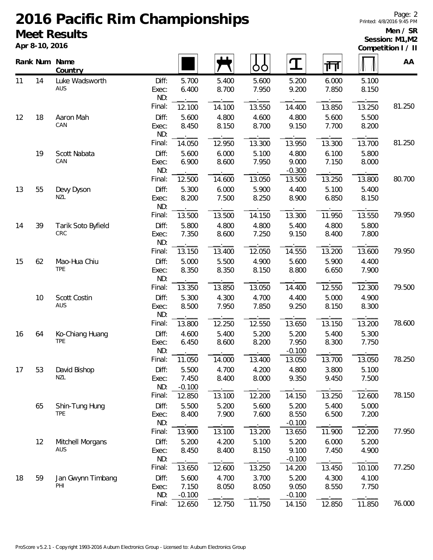# **2016 Pacific Rim Championships**

### **Meet Results**

**Apr 8-10, 2016**

### **Men / SR Session: M1,M2**

| Competition I / II |  |  |
|--------------------|--|--|
|                    |  |  |

|    |    | Rank Num Name<br>Country      |                       |                            |                | ŌŌ             | $\mathbf T$                | गा             |                | AA     |
|----|----|-------------------------------|-----------------------|----------------------------|----------------|----------------|----------------------------|----------------|----------------|--------|
| 11 | 14 | Luke Wadsworth<br>AUS         | Diff:<br>Exec:<br>ND: | 5.700<br>6.400             | 5.400<br>8.700 | 5.600<br>7.950 | 5.200<br>9.200             | 6.000<br>7.850 | 5.100<br>8.150 |        |
|    |    |                               | Final:                | 12.100                     | 14.100         | 13.550         | 14.400                     | 13.850         | 13.250         | 81.250 |
| 12 | 18 | Aaron Mah<br>CAN              | Diff:<br>Exec:<br>ND: | 5.600<br>8.450             | 4.800<br>8.150 | 4.600<br>8.700 | 4.800<br>9.150             | 5.600<br>7.700 | 5.500<br>8.200 |        |
|    |    |                               | Final:                | 14.050                     | 12.950         | 13.300         | 13.950                     | 13.300         | 13.700         | 81.250 |
|    | 19 | Scott Nabata<br>CAN           | Diff:<br>Exec:        | 5.600<br>6.900             | 6.000<br>8.600 | 5.100<br>7.950 | 4.800<br>9.000             | 6.100<br>7.150 | 5.800<br>8.000 |        |
|    |    |                               | ND:<br>Final:         | 12.500                     | $ -$<br>14.600 | 13.050         | $-0.300$<br>13.500         | 13.250         | 13.800         | 80.700 |
| 13 | 55 | Devy Dyson<br>NZL             | Diff:<br>Exec:<br>ND: | 5.300<br>8.200             | 6.000<br>7.500 | 5.900<br>8.250 | 4.400<br>8.900             | 5.100<br>6.850 | 5.400<br>8.150 |        |
|    |    |                               | Final:                | 13.500                     | 13.500         | 14.150         | 13.300                     | 11.950         | 13.550         | 79.950 |
| 14 | 39 | Tarik Soto Byfield<br>CRC     | Diff:<br>Exec:<br>ND: | 5.800<br>7.350             | 4.800<br>8.600 | 4.800<br>7.250 | 5.400<br>9.150             | 4.800<br>8.400 | 5.800<br>7.800 |        |
|    |    |                               | Final:                | 13.150                     | 13.400         | 12.050         | 14.550                     | 13.200         | 13.600         | 79.950 |
| 15 | 62 | Mao-Hua Chiu<br><b>TPE</b>    | Diff:<br>Exec:<br>ND: | 5.000<br>8.350             | 5.500<br>8.350 | 4.900<br>8.150 | 5.600<br>8.800             | 5.900<br>6.650 | 4.400<br>7.900 |        |
|    |    |                               | Final:                | 13.350                     | 13.850         | 13.050         | 14.400                     | 12.550         | 12.300         | 79.500 |
|    | 10 | Scott Costin<br>AUS           | Diff:<br>Exec:<br>ND: | 5.300<br>8.500             | 4.300<br>7.950 | 4.700<br>7.850 | 4.400<br>9.250             | 5.000<br>8.150 | 4.900<br>8.300 |        |
|    |    |                               | Final:                | 13.800                     | 12.250         | 12.550         | 13.650                     | 13.150         | 13.200         | 78.600 |
| 16 | 64 | Ko-Chiang Huang<br><b>TPE</b> | Diff:<br>Exec:<br>ND: | 4.600<br>6.450             | 5.400<br>8.600 | 5.200<br>8.200 | 5.200<br>7.950<br>$-0.100$ | 5.400<br>8.300 | 5.300<br>7.750 |        |
|    |    |                               | Final:                | 11.050                     | 14.000         | 13.400         | 13.050                     | 13.700         | 13.050         | 78.250 |
| 17 | 53 | David Bishop<br><b>NZL</b>    | Diff:<br>Exec:<br>ND: | 5.500<br>7.450<br>$-0.100$ | 4.700<br>8.400 | 4.200<br>8.000 | 4.800<br>9.350             | 3.800<br>9.450 | 5.100<br>7.500 |        |
|    |    |                               | Final:                | 12.850                     | 13.100         | 12.200         | 14.150                     | 13.250         | 12.600         | 78.150 |
|    | 65 | Shin-Tung Hung<br><b>TPE</b>  | Diff:<br>Exec:<br>ND: | 5.500<br>8.400             | 5.200<br>7.900 | 5.600<br>7.600 | 5.200<br>8.550<br>$-0.100$ | 5.400<br>6.500 | 5.000<br>7.200 |        |
|    |    |                               | Final:                | 13.900                     | 13.100         | 13.200         | 13.650                     | 11.900         | 12.200         | 77.950 |
|    | 12 | Mitchell Morgans<br>AUS       | Diff:<br>Exec:<br>ND: | 5.200<br>8.450             | 4.200<br>8.400 | 5.100<br>8.150 | 5.200<br>9.100<br>$-0.100$ | 6.000<br>7.450 | 5.200<br>4.900 |        |
|    |    |                               | Final:                | 13.650                     | 12.600         | 13.250         | 14.200                     | 13.450         | 10.100         | 77.250 |
| 18 | 59 | Jan Gwynn Timbang<br>PHI      | Diff:<br>Exec:<br>ND: | 5.600<br>7.150<br>$-0.100$ | 4.700<br>8.050 | 3.700<br>8.050 | 5.200<br>9.050<br>$-0.100$ | 4.300<br>8.550 | 4.100<br>7.750 |        |
|    |    |                               | Final:                | 12.650                     | 12.750         | 11.750         | 14.150                     | 12.850         | 11.850         | 76.000 |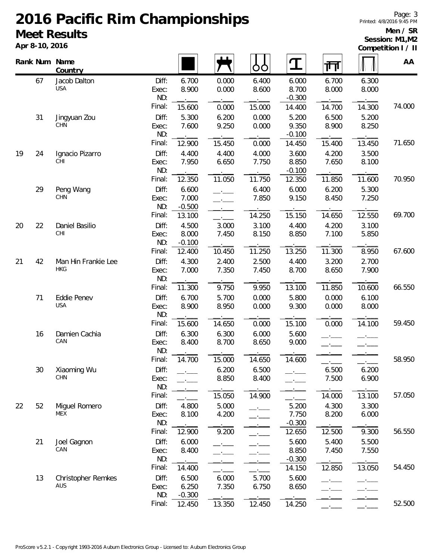# **2016 Pacific Rim Championships Meet Results**

**Apr 8-10, 2016**

### **Men / SR Session: M1,M2**

| Competition I / II |  |  |
|--------------------|--|--|
|                    |  |  |

|    |    | Rank Num Name<br>Country          |                       |                            |                                                                       | 99             | I                          | 帀              |                | AA     |
|----|----|-----------------------------------|-----------------------|----------------------------|-----------------------------------------------------------------------|----------------|----------------------------|----------------|----------------|--------|
|    | 67 | Jacob Dalton<br><b>USA</b>        | Diff:<br>Exec:<br>ND: | 6.700<br>8.900             | 0.000<br>0.000                                                        | 6.400<br>8.600 | 6.000<br>8.700<br>$-0.300$ | 6.700<br>8.000 | 6.300<br>8.000 |        |
|    |    |                                   | Final:                | 15.600                     | 0.000                                                                 | 15.000         | 14.400                     | 14.700         | 14.300         | 74.000 |
|    | 31 | Jingyuan Zou<br><b>CHN</b>        | Diff:<br>Exec:<br>ND: | 5.300<br>7.600             | 6.200<br>9.250                                                        | 0.000<br>0.000 | 5.200<br>9.350<br>$-0.100$ | 6.500<br>8.900 | 5.200<br>8.250 |        |
|    |    |                                   | Final:                | 12.900                     | 15.450                                                                | 0.000          | 14.450                     | 15.400         | 13.450         | 71.650 |
| 19 | 24 | Ignacio Pizarro<br>CHI            | Diff:<br>Exec:<br>ND: | 4.400<br>7.950             | 4.400<br>6.650                                                        | 4.000<br>7.750 | 3.600<br>8.850<br>$-0.100$ | 4.200<br>7.650 | 3.500<br>8.100 |        |
|    |    |                                   | Final:                | 12.350                     | 11.050                                                                | 11.750         | 12.350                     | 11.850         | 11.600         | 70.950 |
|    | 29 | Peng Wang<br>CHN                  | Diff:<br>Exec:<br>ND: | 6.600<br>7.000<br>$-0.500$ | $\overline{\phantom{a}}$<br>$\overline{\phantom{a}}$<br>$\rightarrow$ | 6.400<br>7.850 | 6.000<br>9.150             | 6.200<br>8.450 | 5.300<br>7.250 |        |
|    |    |                                   | Final:                | 13.100                     |                                                                       | 14.250         | 15.150                     | 14.650         | 12.550         | 69.700 |
| 20 | 22 | Daniel Basilio<br>CHI             | Diff:<br>Exec:<br>ND: | 4.500<br>8.000<br>$-0.100$ | 3.000<br>7.450                                                        | 3.100<br>8.150 | 4.400<br>8.850             | 4.200<br>7.100 | 3.100<br>5.850 |        |
|    |    |                                   | Final:                | 12.400                     | 10.450                                                                | 11.250         | 13.250                     | 11.300         | 8.950          | 67.600 |
| 21 | 42 | Man Hin Frankie Lee<br><b>HKG</b> | Diff:<br>Exec:<br>ND: | 4.300<br>7.000             | 2.400<br>7.350                                                        | 2.500<br>7.450 | 4.400<br>8.700             | 3.200<br>8.650 | 2.700<br>7.900 |        |
|    |    |                                   | Final:                | 11.300                     | 9.750                                                                 | 9.950          | 13.100                     | 11.850         | 10.600         | 66.550 |
|    | 71 | <b>Eddie Penev</b>                | Diff:                 | 6.700                      | 5.700                                                                 | 0.000          | 5.800                      | 0.000          | 6.100          |        |
|    |    | <b>USA</b>                        | Exec:<br>ND:          | 8.900                      | 8.950                                                                 | 0.000          | 9.300                      | 0.000          | 8.000          |        |
|    |    |                                   | Final:                | 15.600                     | 14.650                                                                | 0.000          | 15.100                     | 0.000          | 14.100         | 59.450 |
|    | 16 | Damien Cachia<br>CAN              | Diff:<br>Exec:<br>ND: | 6.300<br>8.400             | 6.300<br>8.700                                                        | 6.000<br>8.650 | 5.600<br>9.000             |                |                |        |
|    |    |                                   | Final:                | 14.700                     | 15.000                                                                | 14.650         | 14.600                     |                |                | 58.950 |
|    | 30 | Xiaoming Wu<br><b>CHN</b>         | Diff:<br>Exec:<br>ND: |                            | 6.200<br>8.850                                                        | 6.500<br>8.400 |                            | 6.500<br>7.500 | 6.200<br>6.900 |        |
|    |    |                                   | Final:                |                            | 15.050                                                                | 14.900         |                            | 14.000         | 13.100         | 57.050 |
| 22 | 52 | Miguel Romero<br>MEX              | Diff:<br>Exec:<br>ND: | 4.800<br>8.100             | 5.000<br>4.200                                                        | $ -$           | 5.200<br>7.750<br>$-0.300$ | 4.300<br>8.200 | 3.300<br>6.000 |        |
|    |    |                                   | Final:                | 12.900                     | 9.200                                                                 |                | 12.650                     | 12.500         | 9.300          | 56.550 |
|    | 21 | Joel Gagnon<br>CAN                | Diff:<br>Exec:<br>ND: | 6.000<br>8.400             |                                                                       |                | 5.600<br>8.850<br>$-0.300$ | 5.400<br>7.450 | 5.500<br>7.550 |        |
|    |    |                                   | Final:                | 14.400                     |                                                                       |                | 14.150                     | 12.850         | 13.050         | 54.450 |
|    | 13 | <b>Christopher Remkes</b><br>AUS  | Diff:<br>Exec:<br>ND: | 6.500<br>6.250<br>$-0.300$ | 6.000<br>7.350                                                        | 5.700<br>6.750 | 5.600<br>8.650             |                | $\mathbf{r}$   |        |
|    |    |                                   | Final:                | 12.450                     | 13.350                                                                | 12.450         | 14.250                     |                |                | 52.500 |